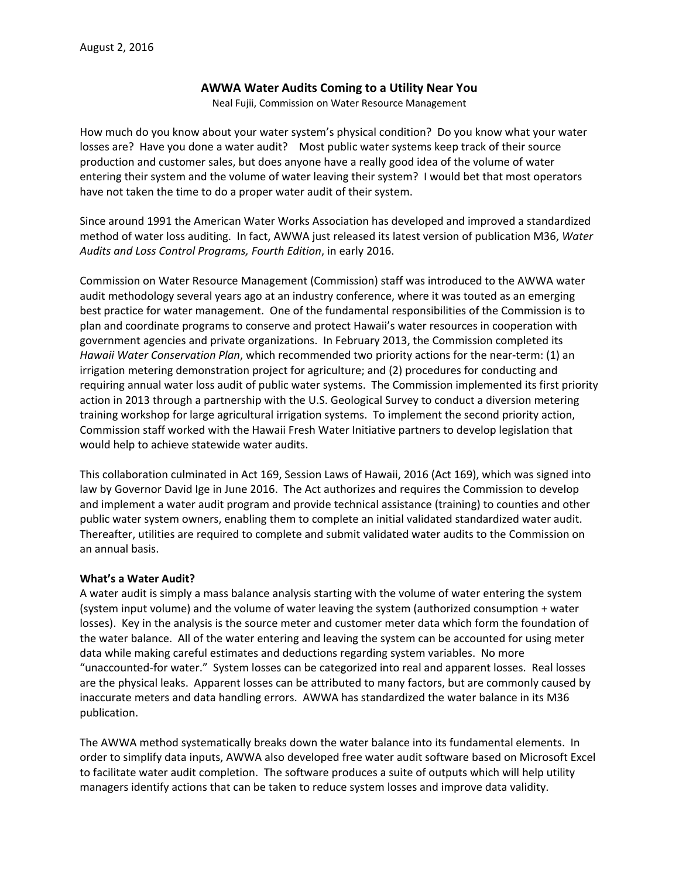## **AWWA Water Audits Coming to a Utility Near You**

Neal Fujii, Commission on Water Resource Management

How much do you know about your water system's physical condition? Do you know what your water losses are? Have you done a water audit? Most public water systems keep track of their source production and customer sales, but does anyone have a really good idea of the volume of water entering their system and the volume of water leaving their system? I would bet that most operators have not taken the time to do a proper water audit of their system.

Since around 1991 the American Water Works Association has developed and improved a standardized method of water loss auditing. In fact, AWWA just released its latest version of publication M36, *Water Audits and Loss Control Programs, Fourth Edition*, in early 2016.

Commission on Water Resource Management (Commission) staff was introduced to the AWWA water audit methodology several years ago at an industry conference, where it was touted as an emerging best practice for water management. One of the fundamental responsibilities of the Commission is to plan and coordinate programs to conserve and protect Hawaii's water resources in cooperation with government agencies and private organizations. In February 2013, the Commission completed its *Hawaii Water Conservation Plan*, which recommended two priority actions for the near‐term: (1) an irrigation metering demonstration project for agriculture; and (2) procedures for conducting and requiring annual water loss audit of public water systems. The Commission implemented its first priority action in 2013 through a partnership with the U.S. Geological Survey to conduct a diversion metering training workshop for large agricultural irrigation systems. To implement the second priority action, Commission staff worked with the Hawaii Fresh Water Initiative partners to develop legislation that would help to achieve statewide water audits.

This collaboration culminated in Act 169, Session Laws of Hawaii, 2016 (Act 169), which was signed into law by Governor David Ige in June 2016. The Act authorizes and requires the Commission to develop and implement a water audit program and provide technical assistance (training) to counties and other public water system owners, enabling them to complete an initial validated standardized water audit. Thereafter, utilities are required to complete and submit validated water audits to the Commission on an annual basis.

### **What's a Water Audit?**

A water audit is simply a mass balance analysis starting with the volume of water entering the system (system input volume) and the volume of water leaving the system (authorized consumption + water losses). Key in the analysis is the source meter and customer meter data which form the foundation of the water balance. All of the water entering and leaving the system can be accounted for using meter data while making careful estimates and deductions regarding system variables. No more "unaccounted‐for water." System losses can be categorized into real and apparent losses. Real losses are the physical leaks. Apparent losses can be attributed to many factors, but are commonly caused by inaccurate meters and data handling errors. AWWA has standardized the water balance in its M36 publication.

The AWWA method systematically breaks down the water balance into its fundamental elements. In order to simplify data inputs, AWWA also developed free water audit software based on Microsoft Excel to facilitate water audit completion. The software produces a suite of outputs which will help utility managers identify actions that can be taken to reduce system losses and improve data validity.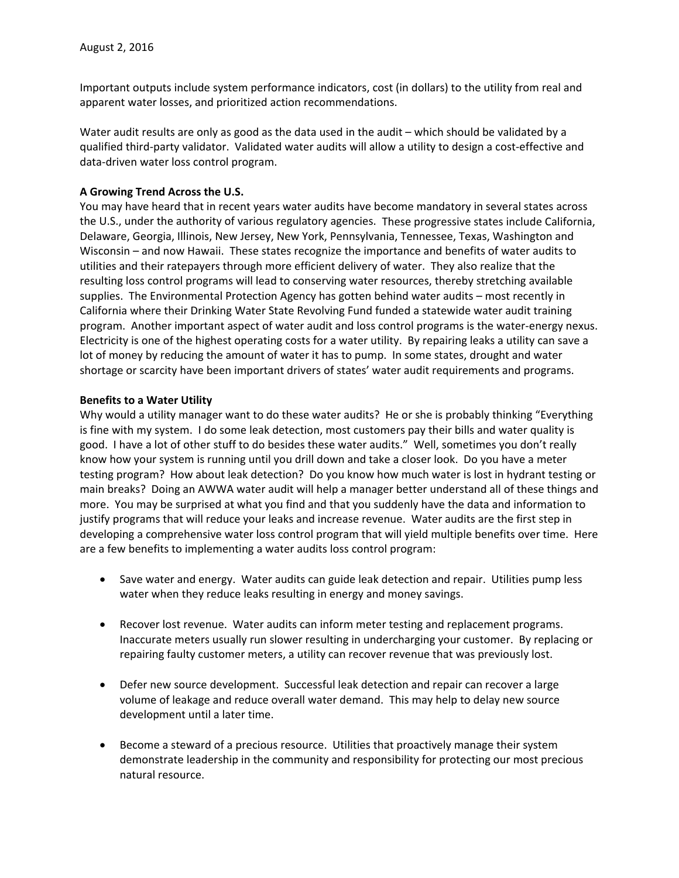Important outputs include system performance indicators, cost (in dollars) to the utility from real and apparent water losses, and prioritized action recommendations.

Water audit results are only as good as the data used in the audit – which should be validated by a qualified third‐party validator. Validated water audits will allow a utility to design a cost‐effective and data‐driven water loss control program.

### **A Growing Trend Across the U.S.**

You may have heard that in recent years water audits have become mandatory in several states across the U.S., under the authority of various regulatory agencies. These progressive states include California, Delaware, Georgia, Illinois, New Jersey, New York, Pennsylvania, Tennessee, Texas, Washington and Wisconsin – and now Hawaii. These states recognize the importance and benefits of water audits to utilities and their ratepayers through more efficient delivery of water. They also realize that the resulting loss control programs will lead to conserving water resources, thereby stretching available supplies. The Environmental Protection Agency has gotten behind water audits – most recently in California where their Drinking Water State Revolving Fund funded a statewide water audit training program. Another important aspect of water audit and loss control programs is the water‐energy nexus. Electricity is one of the highest operating costs for a water utility. By repairing leaks a utility can save a lot of money by reducing the amount of water it has to pump. In some states, drought and water shortage or scarcity have been important drivers of states' water audit requirements and programs.

#### **Benefits to a Water Utility**

Why would a utility manager want to do these water audits? He or she is probably thinking "Everything is fine with my system. I do some leak detection, most customers pay their bills and water quality is good. I have a lot of other stuff to do besides these water audits." Well, sometimes you don't really know how your system is running until you drill down and take a closer look. Do you have a meter testing program? How about leak detection? Do you know how much water is lost in hydrant testing or main breaks? Doing an AWWA water audit will help a manager better understand all of these things and more. You may be surprised at what you find and that you suddenly have the data and information to justify programs that will reduce your leaks and increase revenue. Water audits are the first step in developing a comprehensive water loss control program that will yield multiple benefits over time. Here are a few benefits to implementing a water audits loss control program:

- Save water and energy. Water audits can guide leak detection and repair. Utilities pump less water when they reduce leaks resulting in energy and money savings.
- Recover lost revenue. Water audits can inform meter testing and replacement programs. Inaccurate meters usually run slower resulting in undercharging your customer. By replacing or repairing faulty customer meters, a utility can recover revenue that was previously lost.
- Defer new source development. Successful leak detection and repair can recover a large volume of leakage and reduce overall water demand. This may help to delay new source development until a later time.
- **Become a steward of a precious resource. Utilities that proactively manage their system** demonstrate leadership in the community and responsibility for protecting our most precious natural resource.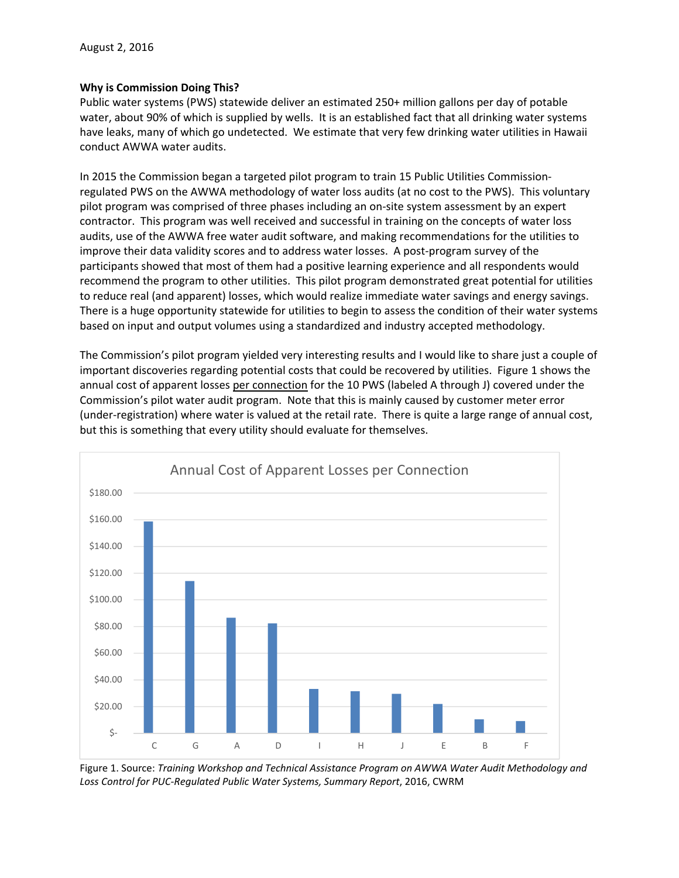### **Why is Commission Doing This?**

Public water systems (PWS) statewide deliver an estimated 250+ million gallons per day of potable water, about 90% of which is supplied by wells. It is an established fact that all drinking water systems have leaks, many of which go undetected. We estimate that very few drinking water utilities in Hawaii conduct AWWA water audits.

In 2015 the Commission began a targeted pilot program to train 15 Public Utilities Commission‐ regulated PWS on the AWWA methodology of water loss audits (at no cost to the PWS). This voluntary pilot program was comprised of three phases including an on‐site system assessment by an expert contractor. This program was well received and successful in training on the concepts of water loss audits, use of the AWWA free water audit software, and making recommendations for the utilities to improve their data validity scores and to address water losses. A post-program survey of the participants showed that most of them had a positive learning experience and all respondents would recommend the program to other utilities. This pilot program demonstrated great potential for utilities to reduce real (and apparent) losses, which would realize immediate water savings and energy savings. There is a huge opportunity statewide for utilities to begin to assess the condition of their water systems based on input and output volumes using a standardized and industry accepted methodology.

The Commission's pilot program yielded very interesting results and I would like to share just a couple of important discoveries regarding potential costs that could be recovered by utilities. Figure 1 shows the annual cost of apparent losses per connection for the 10 PWS (labeled A through J) covered under the Commission's pilot water audit program. Note that this is mainly caused by customer meter error (under-registration) where water is valued at the retail rate. There is quite a large range of annual cost, but this is something that every utility should evaluate for themselves.



Figure 1. Source: *Training Workshop and Technical Assistance Program on AWWA Water Audit Methodology and Loss Control for PUC‐Regulated Public Water Systems, Summary Report*, 2016, CWRM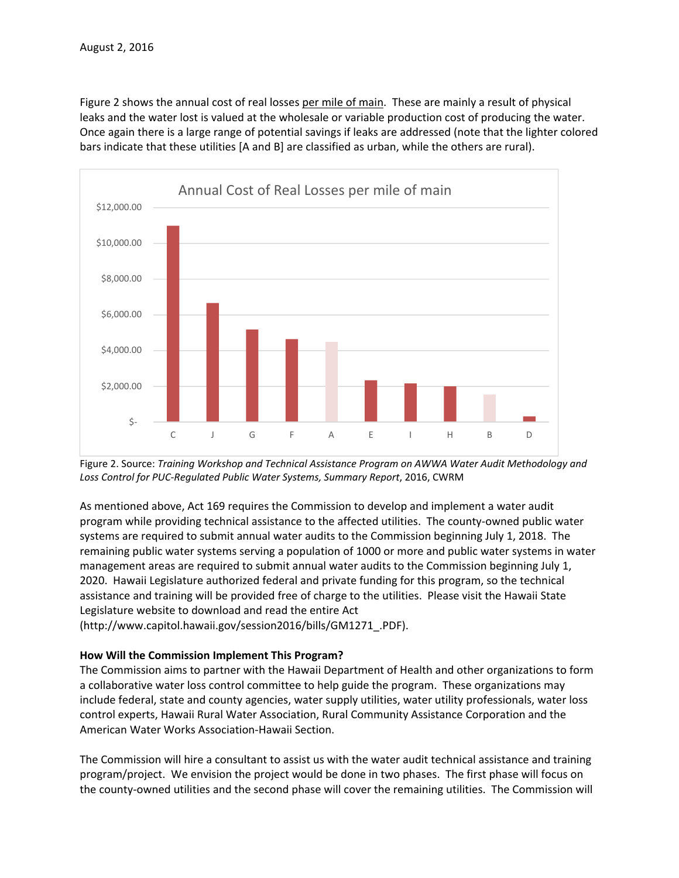Figure 2 shows the annual cost of real losses per mile of main. These are mainly a result of physical leaks and the water lost is valued at the wholesale or variable production cost of producing the water. Once again there is a large range of potential savings if leaks are addressed (note that the lighter colored bars indicate that these utilities [A and B] are classified as urban, while the others are rural).



Figure 2. Source: *Training Workshop and Technical Assistance Program on AWWA Water Audit Methodology and Loss Control for PUC‐Regulated Public Water Systems, Summary Report*, 2016, CWRM

As mentioned above, Act 169 requires the Commission to develop and implement a water audit program while providing technical assistance to the affected utilities. The county-owned public water systems are required to submit annual water audits to the Commission beginning July 1, 2018. The remaining public water systems serving a population of 1000 or more and public water systems in water management areas are required to submit annual water audits to the Commission beginning July 1, 2020. Hawaii Legislature authorized federal and private funding for this program, so the technical assistance and training will be provided free of charge to the utilities. Please visit the Hawaii State Legislature website to download and read the entire Act

(http://www.capitol.hawaii.gov/session2016/bills/GM1271\_.PDF).

# **How Will the Commission Implement This Program?**

The Commission aims to partner with the Hawaii Department of Health and other organizations to form a collaborative water loss control committee to help guide the program. These organizations may include federal, state and county agencies, water supply utilities, water utility professionals, water loss control experts, Hawaii Rural Water Association, Rural Community Assistance Corporation and the American Water Works Association‐Hawaii Section.

The Commission will hire a consultant to assist us with the water audit technical assistance and training program/project. We envision the project would be done in two phases. The first phase will focus on the county‐owned utilities and the second phase will cover the remaining utilities. The Commission will